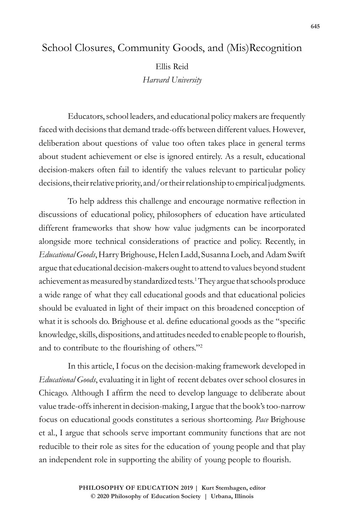# School Closures, Community Goods, and (Mis)Recognition

Ellis Reid *Harvard University*

Educators, school leaders, and educational policy makers are frequently faced with decisions that demand trade-offs between different values. However, deliberation about questions of value too often takes place in general terms about student achievement or else is ignored entirely. As a result, educational decision-makers often fail to identify the values relevant to particular policy decisions, their relative priority, and/or their relationship to empirical judgments.

To help address this challenge and encourage normative reflection in discussions of educational policy, philosophers of education have articulated different frameworks that show how value judgments can be incorporated alongside more technical considerations of practice and policy. Recently, in *Educational Goods*, Harry Brighouse, Helen Ladd, Susanna Loeb, and Adam Swift argue that educational decision-makers ought to attend to values beyond student achievement as measured by standardized tests.<sup>1</sup> They argue that schools produce a wide range of what they call educational goods and that educational policies should be evaluated in light of their impact on this broadened conception of what it is schools do. Brighouse et al. define educational goods as the "specific knowledge, skills, dispositions, and attitudes needed to enable people to flourish, and to contribute to the flourishing of others."<sup>2</sup>

In this article, I focus on the decision-making framework developed in *Educational Goods*, evaluating it in light of recent debates over school closures in Chicago. Although I affirm the need to develop language to deliberate about value trade-offs inherent in decision-making, I argue that the book's too-narrow focus on educational goods constitutes a serious shortcoming. *Pace* Brighouse et al., I argue that schools serve important community functions that are not reducible to their role as sites for the education of young people and that play an independent role in supporting the ability of young people to flourish.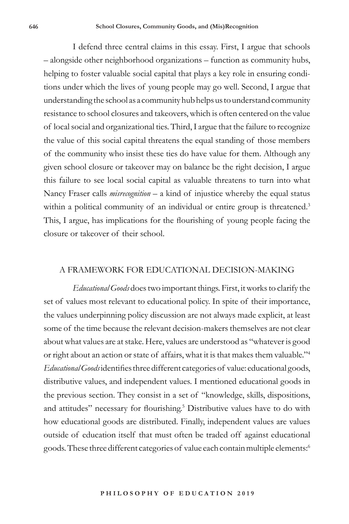I defend three central claims in this essay. First, I argue that schools – alongside other neighborhood organizations – function as community hubs, helping to foster valuable social capital that plays a key role in ensuring conditions under which the lives of young people may go well. Second, I argue that understanding the school as a community hub helps us to understand community resistance to school closures and takeovers, which is often centered on the value of local social and organizational ties. Third, I argue that the failure to recognize the value of this social capital threatens the equal standing of those members of the community who insist these ties do have value for them. Although any given school closure or takeover may on balance be the right decision, I argue this failure to see local social capital as valuable threatens to turn into what Nancy Fraser calls *misrecognition* – a kind of injustice whereby the equal status within a political community of an individual or entire group is threatened.<sup>3</sup> This, I argue, has implications for the flourishing of young people facing the closure or takeover of their school.

# A FRAMEWORK FOR EDUCATIONAL DECISION-MAKING

*Educational Goods* does two important things. First, it works to clarify the set of values most relevant to educational policy. In spite of their importance, the values underpinning policy discussion are not always made explicit, at least some of the time because the relevant decision-makers themselves are not clear about what values are at stake. Here, values are understood as "whatever is good or right about an action or state of affairs, what it is that makes them valuable."<sup>4</sup> *Educational Goods* identifies three different categories of value: educational goods, distributive values, and independent values. I mentioned educational goods in the previous section. They consist in a set of "knowledge, skills, dispositions, and attitudes" necessary for flourishing.<sup>5</sup> Distributive values have to do with how educational goods are distributed. Finally, independent values are values outside of education itself that must often be traded off against educational goods. These three different categories of value each contain multiple elements:<sup>6</sup>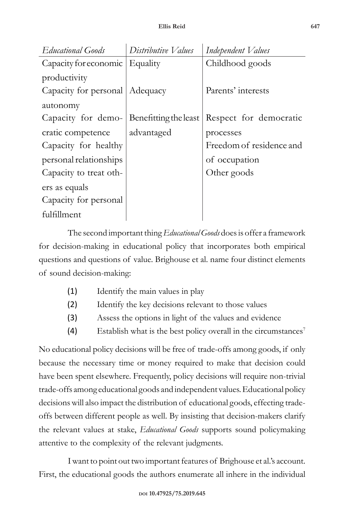| Educational Goods                | Distributive Values | Independent Values                                              |
|----------------------------------|---------------------|-----------------------------------------------------------------|
| Capacity for economic   Equality |                     | Childhood goods                                                 |
| productivity                     |                     |                                                                 |
| Capacity for personal   Adequacy |                     | Parents' interests                                              |
| autonomy                         |                     |                                                                 |
|                                  |                     | Capacity for demo- Benefitting the least Respect for democratic |
| cratic competence                | advantaged          | processes                                                       |
| Capacity for healthy             |                     | Freedom of residence and                                        |
| personal relationships           |                     | of occupation                                                   |
| Capacity to treat oth-           |                     | Other goods                                                     |
| ers as equals                    |                     |                                                                 |
| Capacity for personal            |                     |                                                                 |
| fulfillment                      |                     |                                                                 |

The second important thing *Educational Goods* does is offer a framework for decision-making in educational policy that incorporates both empirical questions and questions of value. Brighouse et al. name four distinct elements of sound decision-making:

- (1) Identify the main values in play
- (2) Identify the key decisions relevant to those values
- (3) Assess the options in light of the values and evidence
- (4) Establish what is the best policy overall in the circumstances<sup>7</sup>

No educational policy decisions will be free of trade-offs among goods, if only because the necessary time or money required to make that decision could have been spent elsewhere. Frequently, policy decisions will require non-trivial trade-offs among educational goods and independent values. Educational policy decisions will also impact the distribution of educational goods, effecting tradeoffs between different people as well. By insisting that decision-makers clarify the relevant values at stake, *Educational Goods* supports sound policymaking attentive to the complexity of the relevant judgments.

I want to point out two important features of Brighouse et al.'s account. First, the educational goods the authors enumerate all inhere in the individual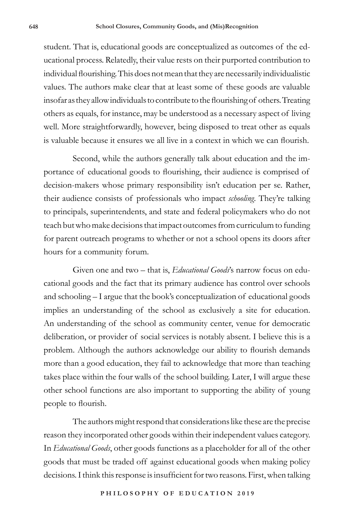student. That is, educational goods are conceptualized as outcomes of the educational process. Relatedly, their value rests on their purported contribution to individual flourishing. This does not mean that they are necessarily individualistic values. The authors make clear that at least some of these goods are valuable insofar as they allow individuals to contribute to the flourishing of others. Treating others as equals, for instance, may be understood as a necessary aspect of living well. More straightforwardly, however, being disposed to treat other as equals is valuable because it ensures we all live in a context in which we can flourish.

Second, while the authors generally talk about education and the importance of educational goods to flourishing, their audience is comprised of decision-makers whose primary responsibility isn't education per se. Rather, their audience consists of professionals who impact *schooling*. They're talking to principals, superintendents, and state and federal policymakers who do not teach but who make decisions that impact outcomes from curriculum to funding for parent outreach programs to whether or not a school opens its doors after hours for a community forum.

Given one and two – that is, *Educational Goods*'s narrow focus on educational goods and the fact that its primary audience has control over schools and schooling – I argue that the book's conceptualization of educational goods implies an understanding of the school as exclusively a site for education. An understanding of the school as community center, venue for democratic deliberation, or provider of social services is notably absent. I believe this is a problem. Although the authors acknowledge our ability to flourish demands more than a good education, they fail to acknowledge that more than teaching takes place within the four walls of the school building. Later, I will argue these other school functions are also important to supporting the ability of young people to flourish.

The authors might respond that considerations like these are the precise reason they incorporated other goods within their independent values category. In *Educational Goods*, other goods functions as a placeholder for all of the other goods that must be traded off against educational goods when making policy decisions. I think this response is insufficient for two reasons. First, when talking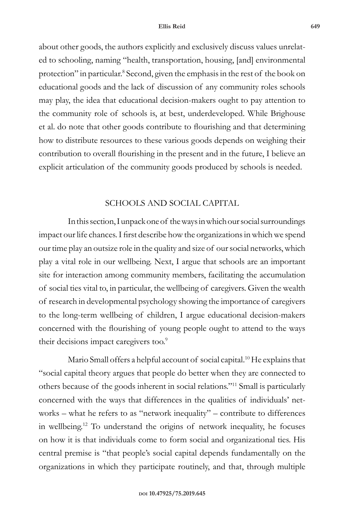about other goods, the authors explicitly and exclusively discuss values unrelated to schooling, naming "health, transportation, housing, [and] environmental protection" in particular.<sup>8</sup> Second, given the emphasis in the rest of the book on educational goods and the lack of discussion of any community roles schools may play, the idea that educational decision-makers ought to pay attention to the community role of schools is, at best, underdeveloped. While Brighouse et al. do note that other goods contribute to flourishing and that determining how to distribute resources to these various goods depends on weighing their contribution to overall flourishing in the present and in the future, I believe an explicit articulation of the community goods produced by schools is needed.

# SCHOOLS AND SOCIAL CAPITAL

In this section, I unpack one of the ways in which our social surroundings impact our life chances. I first describe how the organizations in which we spend our time play an outsize role in the quality and size of our social networks, which play a vital role in our wellbeing. Next, I argue that schools are an important site for interaction among community members, facilitating the accumulation of social ties vital to, in particular, the wellbeing of caregivers. Given the wealth of research in developmental psychology showing the importance of caregivers to the long-term wellbeing of children, I argue educational decision-makers concerned with the flourishing of young people ought to attend to the ways their decisions impact caregivers too.<sup>9</sup>

Mario Small offers a helpful account of social capital.<sup>10</sup> He explains that "social capital theory argues that people do better when they are connected to others because of the goods inherent in social relations."11 Small is particularly concerned with the ways that differences in the qualities of individuals' networks – what he refers to as "network inequality" – contribute to differences in wellbeing.12 To understand the origins of network inequality, he focuses on how it is that individuals come to form social and organizational ties. His central premise is "that people's social capital depends fundamentally on the organizations in which they participate routinely, and that, through multiple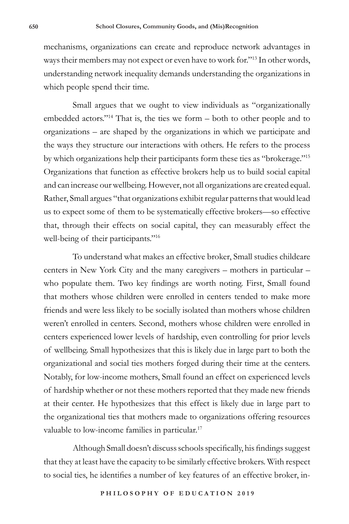mechanisms, organizations can create and reproduce network advantages in ways their members may not expect or even have to work for."13 In other words, understanding network inequality demands understanding the organizations in which people spend their time.

Small argues that we ought to view individuals as "organizationally embedded actors."14 That is, the ties we form – both to other people and to organizations – are shaped by the organizations in which we participate and the ways they structure our interactions with others. He refers to the process by which organizations help their participants form these ties as "brokerage."<sup>15</sup> Organizations that function as effective brokers help us to build social capital and can increase our wellbeing. However, not all organizations are created equal. Rather, Small argues "that organizations exhibit regular patterns that would lead us to expect some of them to be systematically effective brokers—so effective that, through their effects on social capital, they can measurably effect the well-being of their participants."<sup>16</sup>

To understand what makes an effective broker, Small studies childcare centers in New York City and the many caregivers – mothers in particular – who populate them. Two key findings are worth noting. First, Small found that mothers whose children were enrolled in centers tended to make more friends and were less likely to be socially isolated than mothers whose children weren't enrolled in centers. Second, mothers whose children were enrolled in centers experienced lower levels of hardship, even controlling for prior levels of wellbeing. Small hypothesizes that this is likely due in large part to both the organizational and social ties mothers forged during their time at the centers. Notably, for low-income mothers, Small found an effect on experienced levels of hardship whether or not these mothers reported that they made new friends at their center. He hypothesizes that this effect is likely due in large part to the organizational ties that mothers made to organizations offering resources valuable to low-income families in particular.<sup>17</sup>

Although Small doesn't discuss schools specifically, his findings suggest that they at least have the capacity to be similarly effective brokers. With respect to social ties, he identifies a number of key features of an effective broker, in-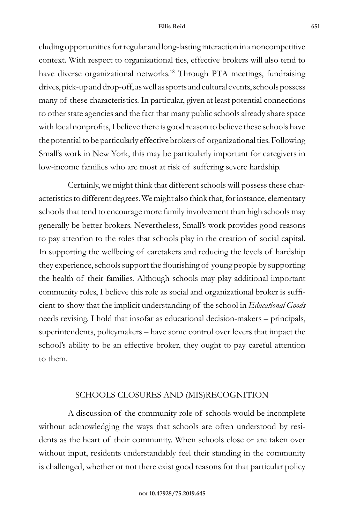#### **Ellis Reid 651**

cluding opportunities for regular and long-lasting interaction in a noncompetitive context. With respect to organizational ties, effective brokers will also tend to have diverse organizational networks.<sup>18</sup> Through PTA meetings, fundraising drives, pick-up and drop-off, as well as sports and cultural events, schools possess many of these characteristics. In particular, given at least potential connections to other state agencies and the fact that many public schools already share space with local nonprofits, I believe there is good reason to believe these schools have the potential to be particularly effective brokers of organizational ties. Following Small's work in New York, this may be particularly important for caregivers in low-income families who are most at risk of suffering severe hardship.

Certainly, we might think that different schools will possess these characteristics to different degrees. We might also think that, for instance, elementary schools that tend to encourage more family involvement than high schools may generally be better brokers. Nevertheless, Small's work provides good reasons to pay attention to the roles that schools play in the creation of social capital. In supporting the wellbeing of caretakers and reducing the levels of hardship they experience, schools support the flourishing of young people by supporting the health of their families. Although schools may play additional important community roles, I believe this role as social and organizational broker is sufficient to show that the implicit understanding of the school in *Educational Goods* needs revising. I hold that insofar as educational decision-makers – principals, superintendents, policymakers – have some control over levers that impact the school's ability to be an effective broker, they ought to pay careful attention to them.

## SCHOOLS CLOSURES AND (MIS)RECOGNITION

A discussion of the community role of schools would be incomplete without acknowledging the ways that schools are often understood by residents as the heart of their community. When schools close or are taken over without input, residents understandably feel their standing in the community is challenged, whether or not there exist good reasons for that particular policy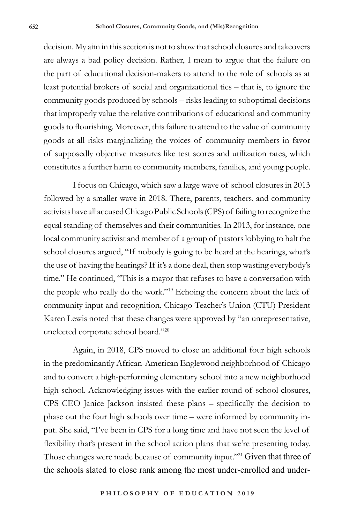decision. My aim in this section is not to show that school closures and takeovers are always a bad policy decision. Rather, I mean to argue that the failure on the part of educational decision-makers to attend to the role of schools as at least potential brokers of social and organizational ties – that is, to ignore the community goods produced by schools – risks leading to suboptimal decisions that improperly value the relative contributions of educational and community goods to flourishing. Moreover, this failure to attend to the value of community goods at all risks marginalizing the voices of community members in favor of supposedly objective measures like test scores and utilization rates, which constitutes a further harm to community members, families, and young people.

I focus on Chicago, which saw a large wave of school closures in 2013 followed by a smaller wave in 2018. There, parents, teachers, and community activists have all accused Chicago Public Schools (CPS) of failing to recognize the equal standing of themselves and their communities. In 2013, for instance, one local community activist and member of a group of pastors lobbying to halt the school closures argued, "If nobody is going to be heard at the hearings, what's the use of having the hearings? If it's a done deal, then stop wasting everybody's time." He continued, "This is a mayor that refuses to have a conversation with the people who really do the work."19 Echoing the concern about the lack of community input and recognition, Chicago Teacher's Union (CTU) President Karen Lewis noted that these changes were approved by "an unrepresentative, unelected corporate school board."<sup>20</sup>

Again, in 2018, CPS moved to close an additional four high schools in the predominantly African-American Englewood neighborhood of Chicago and to convert a high-performing elementary school into a new neighborhood high school. Acknowledging issues with the earlier round of school closures, CPS CEO Janice Jackson insisted these plans – specifically the decision to phase out the four high schools over time – were informed by community input. She said, "I've been in CPS for a long time and have not seen the level of flexibility that's present in the school action plans that we're presenting today. Those changes were made because of community input."<sup>21</sup> Given that three of the schools slated to close rank among the most under-enrolled and under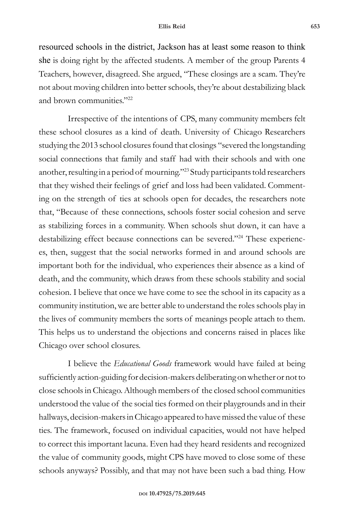resourced schools in the district, Jackson has at least some reason to think she is doing right by the affected students. A member of the group Parents 4 Teachers, however, disagreed. She argued, "These closings are a scam. They're not about moving children into better schools, they're about destabilizing black and brown communities."<sup>22</sup>

Irrespective of the intentions of CPS, many community members felt these school closures as a kind of death. University of Chicago Researchers studying the 2013 school closures found that closings "severed the longstanding social connections that family and staff had with their schools and with one another, resulting in a period of mourning."23 Study participants told researchers that they wished their feelings of grief and loss had been validated. Commenting on the strength of ties at schools open for decades, the researchers note that, "Because of these connections, schools foster social cohesion and serve as stabilizing forces in a community. When schools shut down, it can have a destabilizing effect because connections can be severed."24 These experiences, then, suggest that the social networks formed in and around schools are important both for the individual, who experiences their absence as a kind of death, and the community, which draws from these schools stability and social cohesion. I believe that once we have come to see the school in its capacity as a community institution, we are better able to understand the roles schools play in the lives of community members the sorts of meanings people attach to them. This helps us to understand the objections and concerns raised in places like Chicago over school closures.

I believe the *Educational Goods* framework would have failed at being sufficiently action-guiding for decision-makers deliberating on whether or not to close schools in Chicago. Although members of the closed school communities understood the value of the social ties formed on their playgrounds and in their hallways, decision-makers in Chicago appeared to have missed the value of these ties. The framework, focused on individual capacities, would not have helped to correct this important lacuna. Even had they heard residents and recognized the value of community goods, might CPS have moved to close some of these schools anyways? Possibly, and that may not have been such a bad thing. How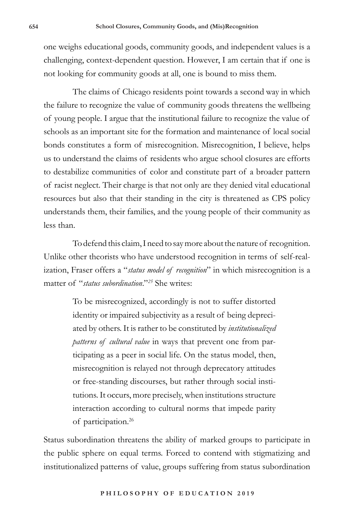one weighs educational goods, community goods, and independent values is a challenging, context-dependent question. However, I am certain that if one is not looking for community goods at all, one is bound to miss them.

The claims of Chicago residents point towards a second way in which the failure to recognize the value of community goods threatens the wellbeing of young people. I argue that the institutional failure to recognize the value of schools as an important site for the formation and maintenance of local social bonds constitutes a form of misrecognition. Misrecognition, I believe, helps us to understand the claims of residents who argue school closures are efforts to destabilize communities of color and constitute part of a broader pattern of racist neglect. Their charge is that not only are they denied vital educational resources but also that their standing in the city is threatened as CPS policy understands them, their families, and the young people of their community as less than.

To defend this claim, I need to say more about the nature of recognition. Unlike other theorists who have understood recognition in terms of self-realization, Fraser offers a "*status model of recognition*" in which misrecognition is a matter of "*status subordination*."*<sup>25</sup>* She writes:

> To be misrecognized, accordingly is not to suffer distorted identity or impaired subjectivity as a result of being depreciated by others. It is rather to be constituted by *institutionalized patterns of cultural value* in ways that prevent one from participating as a peer in social life. On the status model, then, misrecognition is relayed not through deprecatory attitudes or free-standing discourses, but rather through social institutions. It occurs, more precisely, when institutions structure interaction according to cultural norms that impede parity of participation.<sup>26</sup>

Status subordination threatens the ability of marked groups to participate in the public sphere on equal terms. Forced to contend with stigmatizing and institutionalized patterns of value, groups suffering from status subordination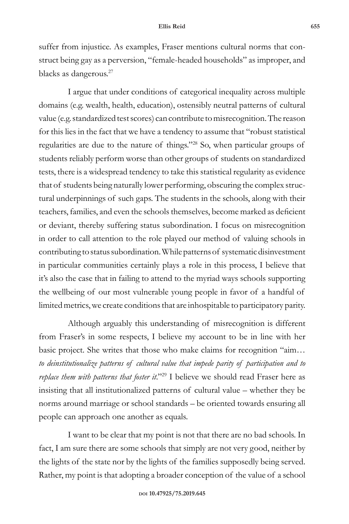suffer from injustice. As examples, Fraser mentions cultural norms that construct being gay as a perversion, "female-headed households" as improper, and blacks as dangerous.<sup>27</sup>

I argue that under conditions of categorical inequality across multiple domains (e.g. wealth, health, education), ostensibly neutral patterns of cultural value (e.g. standardized test scores) can contribute to misrecognition. The reason for this lies in the fact that we have a tendency to assume that "robust statistical regularities are due to the nature of things."28 So, when particular groups of students reliably perform worse than other groups of students on standardized tests, there is a widespread tendency to take this statistical regularity as evidence that of students being naturally lower performing, obscuring the complex structural underpinnings of such gaps. The students in the schools, along with their teachers, families, and even the schools themselves, become marked as deficient or deviant, thereby suffering status subordination. I focus on misrecognition in order to call attention to the role played our method of valuing schools in contributing to status subordination. While patterns of systematic disinvestment in particular communities certainly plays a role in this process, I believe that it's also the case that in failing to attend to the myriad ways schools supporting the wellbeing of our most vulnerable young people in favor of a handful of limited metrics, we create conditions that are inhospitable to participatory parity.

Although arguably this understanding of misrecognition is different from Fraser's in some respects, I believe my account to be in line with her basic project. She writes that those who make claims for recognition "aim… *to deinstitutionalize patterns of cultural value that impede parity of participation and to replace them with patterns that foster it*."29 I believe we should read Fraser here as insisting that all institutionalized patterns of cultural value – whether they be norms around marriage or school standards – be oriented towards ensuring all people can approach one another as equals.

I want to be clear that my point is not that there are no bad schools. In fact, I am sure there are some schools that simply are not very good, neither by the lights of the state nor by the lights of the families supposedly being served. Rather, my point is that adopting a broader conception of the value of a school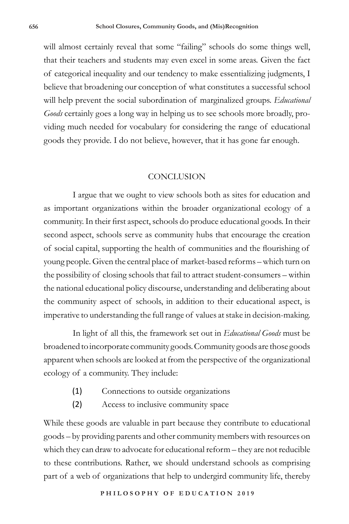will almost certainly reveal that some "failing" schools do some things well, that their teachers and students may even excel in some areas. Given the fact of categorical inequality and our tendency to make essentializing judgments, I believe that broadening our conception of what constitutes a successful school will help prevent the social subordination of marginalized groups. *Educational Goods* certainly goes a long way in helping us to see schools more broadly, providing much needed for vocabulary for considering the range of educational goods they provide. I do not believe, however, that it has gone far enough.

### CONCLUSION

I argue that we ought to view schools both as sites for education and as important organizations within the broader organizational ecology of a community. In their first aspect, schools do produce educational goods. In their second aspect, schools serve as community hubs that encourage the creation of social capital, supporting the health of communities and the flourishing of young people. Given the central place of market-based reforms – which turn on the possibility of closing schools that fail to attract student-consumers – within the national educational policy discourse, understanding and deliberating about the community aspect of schools, in addition to their educational aspect, is imperative to understanding the full range of values at stake in decision-making.

In light of all this, the framework set out in *Educational Goods* must be broadened to incorporate community goods. Community goods are those goods apparent when schools are looked at from the perspective of the organizational ecology of a community. They include:

- (1) Connections to outside organizations
- (2) Access to inclusive community space

While these goods are valuable in part because they contribute to educational goods – by providing parents and other community members with resources on which they can draw to advocate for educational reform – they are not reducible to these contributions. Rather, we should understand schools as comprising part of a web of organizations that help to undergird community life, thereby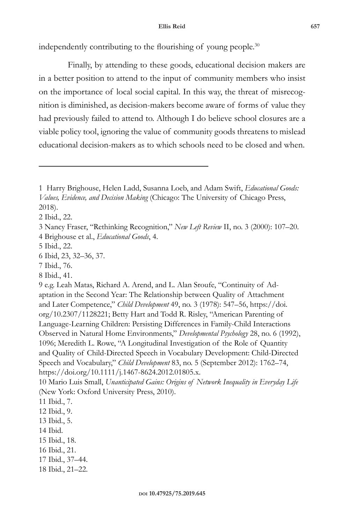independently contributing to the flourishing of young people.<sup>30</sup>

Finally, by attending to these goods, educational decision makers are in a better position to attend to the input of community members who insist on the importance of local social capital. In this way, the threat of misrecognition is diminished, as decision-makers become aware of forms of value they had previously failed to attend to. Although I do believe school closures are a viable policy tool, ignoring the value of community goods threatens to mislead educational decision-makers as to which schools need to be closed and when.

2 Ibid., 22.

8 Ibid., 41.

- 15 Ibid., 18.
- 16 Ibid., 21.
- 17 Ibid., 37–44.
- 18 Ibid., 21–22.

<sup>1</sup> Harry Brighouse, Helen Ladd, Susanna Loeb, and Adam Swift, *Educational Goods: Values, Evidence, and Decision Making* (Chicago: The University of Chicago Press, 2018).

<sup>3</sup> Nancy Fraser, "Rethinking Recognition," *New Left Review* II, no. 3 (2000): 107–20. 4 Brighouse et al., *Educational Goods*, 4.

<sup>5</sup> Ibid., 22.

<sup>6</sup> Ibid, 23, 32–36, 37.

<sup>7</sup> Ibid., 76.

<sup>9</sup> e.g. Leah Matas, Richard A. Arend, and L. Alan Sroufe, "Continuity of Adaptation in the Second Year: The Relationship between Quality of Attachment and Later Competence," *Child Development* 49, no. 3 (1978): 547–56, https://doi. org/10.2307/1128221; Betty Hart and Todd R. Risley, "American Parenting of Language-Learning Children: Persisting Differences in Family-Child Interactions Observed in Natural Home Environments," *Developmental Psychology* 28, no. 6 (1992), 1096; Meredith L. Rowe, "A Longitudinal Investigation of the Role of Quantity and Quality of Child-Directed Speech in Vocabulary Development: Child-Directed Speech and Vocabulary," *Child Development* 83, no. 5 (September 2012): 1762–74, https://doi.org/10.1111/j.1467-8624.2012.01805.x.

<sup>10</sup> Mario Luis Small, *Unanticipated Gains: Origins of Network Inequality in Everyday Life* (New York: Oxford University Press, 2010).

<sup>11</sup> Ibid., 7.

<sup>12</sup> Ibid., 9.

<sup>13</sup> Ibid., 5.

<sup>14</sup> Ibid.